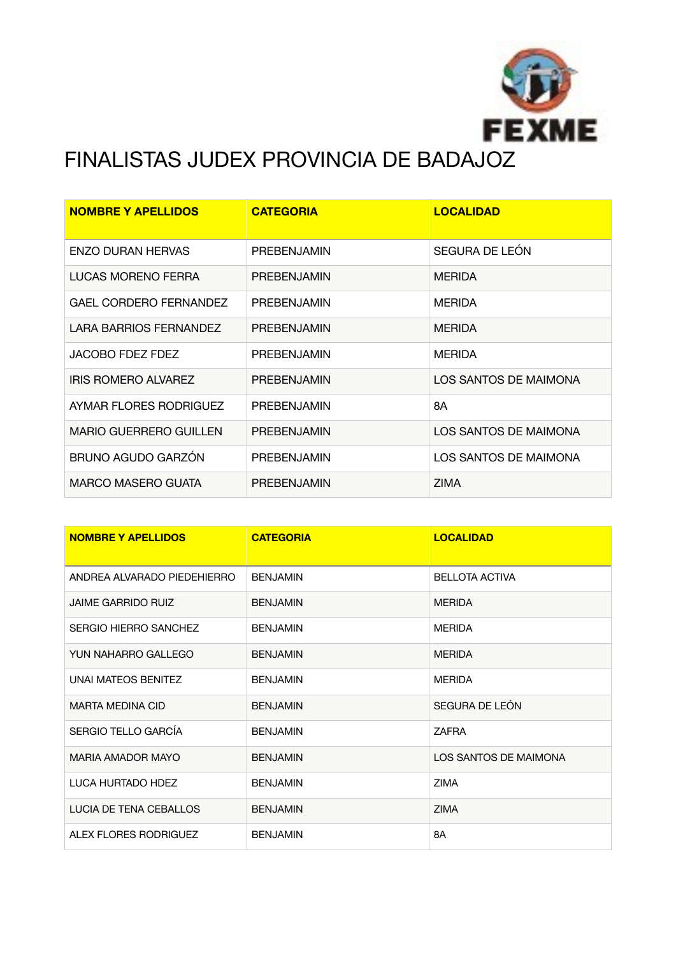

## FINALISTAS JUDEX PROVINCIA DE BADAJOZ

| <b>NOMBRE Y APELLIDOS</b>     | <b>CATEGORIA</b>   | <b>LOCALIDAD</b>      |
|-------------------------------|--------------------|-----------------------|
| <b>ENZO DURAN HERVAS</b>      | PREBENJAMIN        | SEGURA DE LEÓN        |
| <b>LUCAS MORENO FERRA</b>     | <b>PREBENJAMIN</b> | <b>MERIDA</b>         |
| <b>GAEL CORDERO FERNANDEZ</b> | PREBENJAMIN        | <b>MERIDA</b>         |
| <b>LARA BARRIOS FERNANDEZ</b> | PREBENJAMIN        | <b>MERIDA</b>         |
| JACOBO FDEZ FDEZ              | PREBENJAMIN        | <b>MERIDA</b>         |
| IRIS ROMERO ALVAREZ           | PREBENJAMIN        | LOS SANTOS DE MAIMONA |
| AYMAR FLORES RODRIGUEZ        | <b>PREBENJAMIN</b> | 8A                    |
| <b>MARIO GUERRERO GUILLEN</b> | PREBENJAMIN        | LOS SANTOS DE MAIMONA |
| BRUNO AGUDO GARZÓN            | PREBENJAMIN        | LOS SANTOS DE MAIMONA |
| MARCO MASERO GUATA            | <b>PREBENJAMIN</b> | <b>ZIMA</b>           |

| <b>NOMBRE Y APELLIDOS</b>   | <b>CATEGORIA</b> | <b>LOCALIDAD</b>      |
|-----------------------------|------------------|-----------------------|
| ANDREA ALVARADO PIEDEHIERRO | <b>BENJAMIN</b>  | <b>BELLOTA ACTIVA</b> |
| <b>JAIME GARRIDO RUIZ</b>   | <b>BENJAMIN</b>  | <b>MFRIDA</b>         |
| SERGIO HIERRO SANCHEZ       | <b>BENJAMIN</b>  | <b>MERIDA</b>         |
| YUN NAHARRO GALLEGO         | <b>BENJAMIN</b>  | <b>MERIDA</b>         |
| UNAI MATEOS BENITEZ         | <b>BENJAMIN</b>  | <b>MERIDA</b>         |
| <b>MARTA MEDINA CID</b>     | <b>BENJAMIN</b>  | SEGURA DE LEÓN        |
| SERGIO TELLO GARCÍA         | <b>BENJAMIN</b>  | <b>ZAFRA</b>          |
| <b>MARIA AMADOR MAYO</b>    | <b>BENJAMIN</b>  | LOS SANTOS DE MAIMONA |
| LUCA HURTADO HDEZ           | <b>BENJAMIN</b>  | <b>ZIMA</b>           |
| LUCIA DE TENA CEBALLOS      | <b>BENJAMIN</b>  | <b>ZIMA</b>           |
| ALEX FLORES RODRIGUEZ       | <b>BENJAMIN</b>  | 8A                    |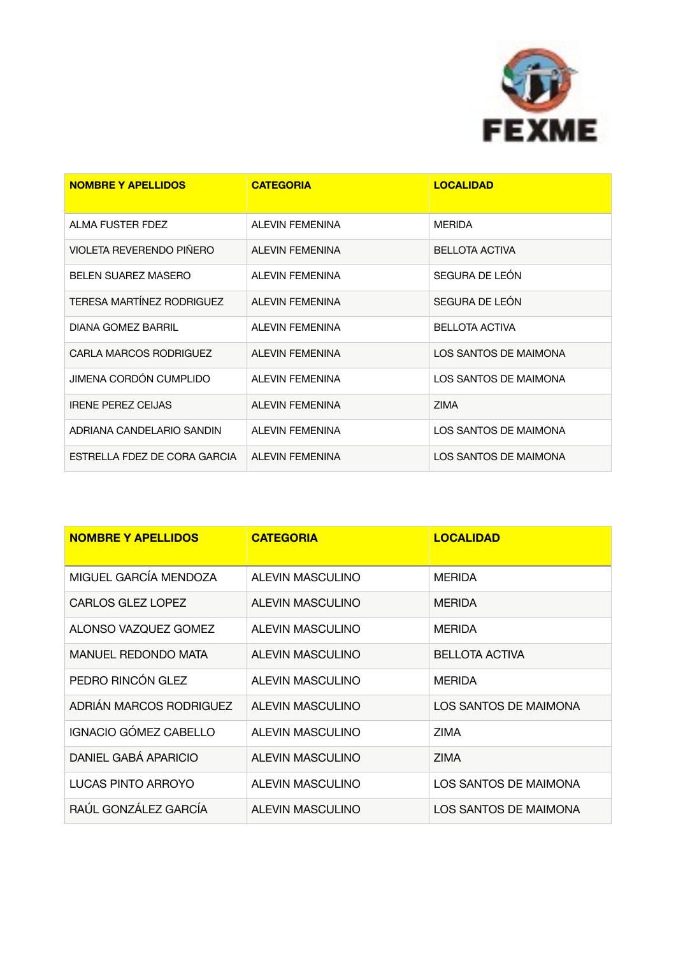

| <b>NOMBRE Y APELLIDOS</b>        | <b>CATEGORIA</b>       | <b>LOCALIDAD</b>      |
|----------------------------------|------------------------|-----------------------|
| ALMA FUSTER FDEZ                 | <b>ALEVIN FEMENINA</b> | <b>MERIDA</b>         |
| VIOLETA REVERENDO PIÑERO         | <b>ALEVIN FEMENINA</b> | <b>BELLOTA ACTIVA</b> |
| <b>BELEN SUAREZ MASERO</b>       | <b>ALEVIN FEMENINA</b> | SEGURA DE LEÓN        |
| <b>TERESA MARTÍNEZ RODRIGUEZ</b> | <b>ALEVIN FEMENINA</b> | SEGURA DE LEÓN        |
| DIANA GOMEZ BARRIL               | <b>ALEVIN FEMENINA</b> | <b>BELLOTA ACTIVA</b> |
| CARLA MARCOS RODRIGUEZ           | <b>ALEVIN FEMENINA</b> | LOS SANTOS DE MAIMONA |
| JIMENA CORDÓN CUMPLIDO           | <b>ALEVIN FEMENINA</b> | LOS SANTOS DE MAIMONA |
| <b>IRENE PEREZ CEIJAS</b>        | <b>ALEVIN FEMENINA</b> | <b>ZIMA</b>           |
| ADRIANA CANDELARIO SANDIN        | <b>ALEVIN FEMENINA</b> | LOS SANTOS DE MAIMONA |
| ESTRELLA FDEZ DE CORA GARCIA     | <b>ALEVIN FEMENINA</b> | LOS SANTOS DE MAIMONA |

| <b>NOMBRE Y APELLIDOS</b>  | <b>CATEGORIA</b>        | <b>LOCALIDAD</b>      |
|----------------------------|-------------------------|-----------------------|
| MIGUEL GARCÍA MENDOZA      | <b>ALEVIN MASCULINO</b> | <b>MERIDA</b>         |
| CARLOS GLEZ LOPEZ          | ALEVIN MASCULINO        | <b>MERIDA</b>         |
| ALONSO VAZQUEZ GOMEZ       | ALEVIN MASCULINO        | <b>MERIDA</b>         |
| <b>MANUEL REDONDO MATA</b> | ALEVIN MASCULINO        | <b>BELLOTA ACTIVA</b> |
| PEDRO RINCÓN GLEZ          | ALEVIN MASCULINO        | <b>MERIDA</b>         |
| ADRIÁN MARCOS RODRIGUEZ    | ALEVIN MASCULINO        | LOS SANTOS DE MAIMONA |
| IGNACIO GÓMEZ CABELLO      | ALEVIN MASCULINO        | <b>ZIMA</b>           |
| DANIEL GABÁ APARICIO       | ALEVIN MASCULINO        | <b>ZIMA</b>           |
| LUCAS PINTO ARROYO         | <b>ALEVIN MASCULINO</b> | LOS SANTOS DE MAIMONA |
| RAÚL GONZÁLEZ GARCÍA       | ALEVIN MASCULINO        | LOS SANTOS DE MAIMONA |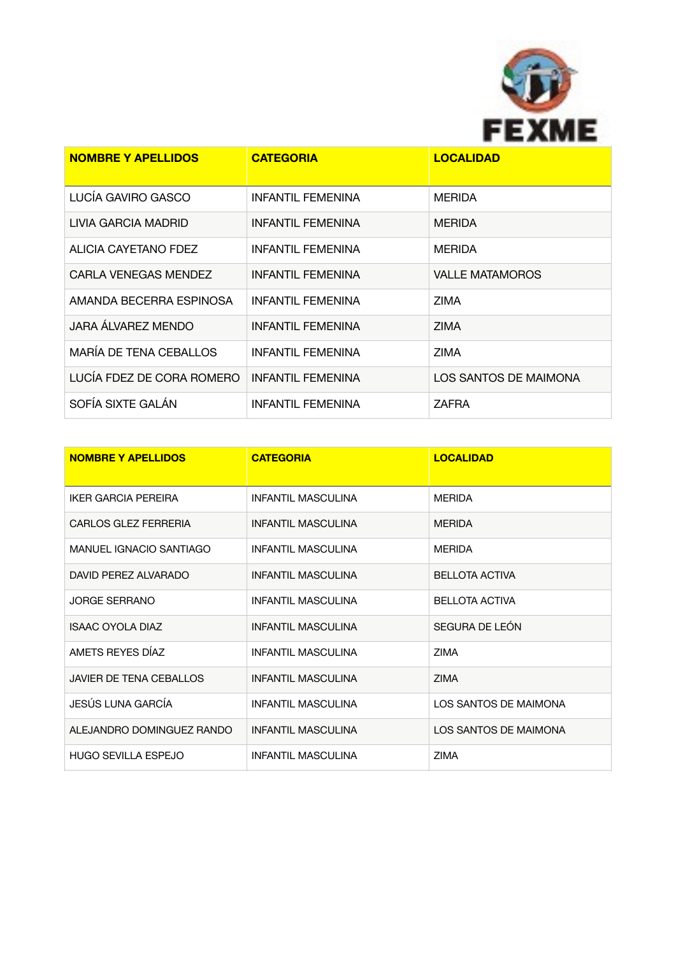

| <b>NOMBRE Y APELLIDOS</b>     | <b>CATEGORIA</b>         | <b>LOCALIDAD</b>       |
|-------------------------------|--------------------------|------------------------|
| LUCÍA GAVIRO GASCO            | <b>INFANTIL FEMENINA</b> | <b>MERIDA</b>          |
| LIVIA GARCIA MADRID           | <b>INFANTIL FEMENINA</b> | <b>MERIDA</b>          |
| ALICIA CAYETANO FDEZ          | <b>INFANTIL FEMENINA</b> | <b>MERIDA</b>          |
| CARLA VENEGAS MENDEZ          | <b>INFANTIL FEMENINA</b> | <b>VALLE MATAMOROS</b> |
| AMANDA BECERRA ESPINOSA       | <b>INFANTIL FEMENINA</b> | <b>ZIMA</b>            |
| JARA ÁLVAREZ MENDO            | <b>INFANTIL FEMENINA</b> | <b>ZIMA</b>            |
| <b>MARÍA DE TENA CEBALLOS</b> | <b>INFANTIL FEMENINA</b> | <b>ZIMA</b>            |
| LUCÍA FDEZ DE CORA ROMERO     | <b>INFANTIL FEMENINA</b> | LOS SANTOS DE MAIMONA  |
| SOFÍA SIXTE GALÁN             | <b>INFANTIL FEMENINA</b> | ZAFRA                  |

| <b>NOMBRE Y APELLIDOS</b>      | <b>CATEGORIA</b>          | <b>LOCALIDAD</b>      |
|--------------------------------|---------------------------|-----------------------|
| IKER GARCIA PEREIRA            | <b>INFANTIL MASCULINA</b> | <b>MERIDA</b>         |
| <b>CARLOS GLEZ FERRERIA</b>    | <b>INFANTIL MASCULINA</b> | <b>MERIDA</b>         |
| MANUEL IGNACIO SANTIAGO        | <b>INFANTIL MASCULINA</b> | <b>MERIDA</b>         |
| DAVID PEREZ ALVARADO           | <b>INFANTIL MASCULINA</b> | <b>BELLOTA ACTIVA</b> |
| <b>JORGE SERRANO</b>           | <b>INFANTIL MASCULINA</b> | <b>BELLOTA ACTIVA</b> |
| <b>ISAAC OYOLA DIAZ</b>        | <b>INFANTIL MASCULINA</b> | SEGURA DE LEÓN        |
| AMETS REYES DÍAZ               | <b>INFANTIL MASCULINA</b> | <b>ZIMA</b>           |
| <b>JAVIER DE TENA CEBALLOS</b> | <b>INFANTIL MASCULINA</b> | <b>ZIMA</b>           |
| JESÚS LUNA GARCÍA              | <b>INFANTIL MASCULINA</b> | LOS SANTOS DE MAIMONA |
| ALEJANDRO DOMINGUEZ RANDO      | <b>INFANTIL MASCULINA</b> | LOS SANTOS DE MAIMONA |
| <b>HUGO SEVILLA ESPEJO</b>     | <b>INFANTIL MASCULINA</b> | <b>ZIMA</b>           |